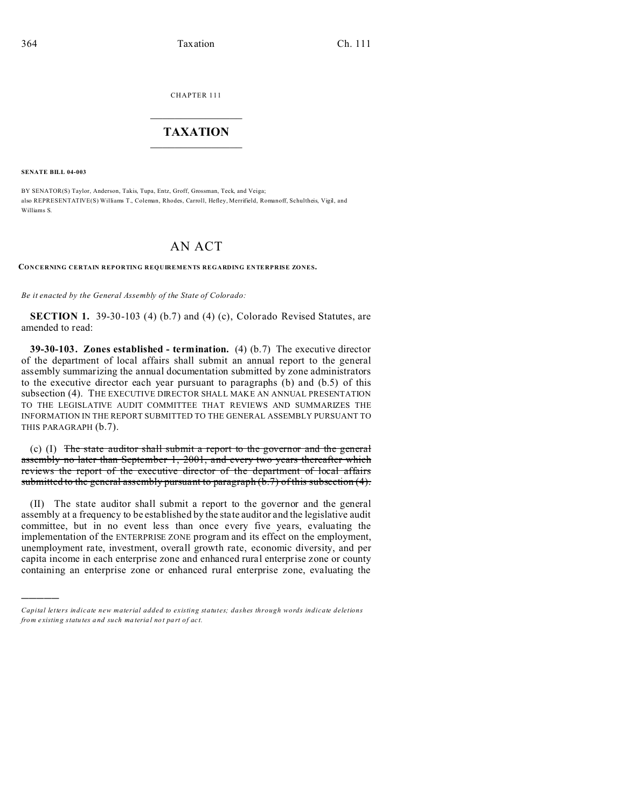CHAPTER 111  $\overline{\phantom{a}}$  , where  $\overline{\phantom{a}}$ 

## **TAXATION**  $\_$

**SENATE BILL 04-003**

)))))

BY SENATOR(S) Taylor, Anderson, Takis, Tupa, Entz, Groff, Grossman, Teck, and Veiga; also REPRESENTATIVE(S) Williams T., Coleman, Rhodes, Carroll, Hefley, Merrifield, Romanoff, Schultheis, Vigil, and Williams S.

## AN ACT

**CONCERNING CERTAIN REPORTING REQUIREMENTS REGARDING ENTERPRISE ZONES.**

*Be it enacted by the General Assembly of the State of Colorado:*

**SECTION 1.** 39-30-103 (4) (b.7) and (4) (c), Colorado Revised Statutes, are amended to read:

**39-30-103. Zones established - termination.** (4) (b.7) The executive director of the department of local affairs shall submit an annual report to the general assembly summarizing the annual documentation submitted by zone administrators to the executive director each year pursuant to paragraphs (b) and (b.5) of this subsection (4). THE EXECUTIVE DIRECTOR SHALL MAKE AN ANNUAL PRESENTATION TO THE LEGISLATIVE AUDIT COMMITTEE THAT REVIEWS AND SUMMARIZES THE INFORMATION IN THE REPORT SUBMITTED TO THE GENERAL ASSEMBLY PURSUANT TO THIS PARAGRAPH (b.7).

(c) (I) The state auditor shall submit a report to the governor and the general assembly no later than September 1, 2001, and every two years thereafter which reviews the report of the executive director of the department of local affairs submitted to the general assembly pursuant to paragraph (b.7) of this subsection (4).

(II) The state auditor shall submit a report to the governor and the general assembly at a frequency to be established by the state auditor and the legislative audit committee, but in no event less than once every five years, evaluating the implementation of the ENTERPRISE ZONE program and its effect on the employment, unemployment rate, investment, overall growth rate, economic diversity, and per capita income in each enterprise zone and enhanced rural enterprise zone or county containing an enterprise zone or enhanced rural enterprise zone, evaluating the

*Capital letters indicate new material added to existing statutes; dashes through words indicate deletions from e xistin g statu tes a nd such ma teria l no t pa rt of ac t.*